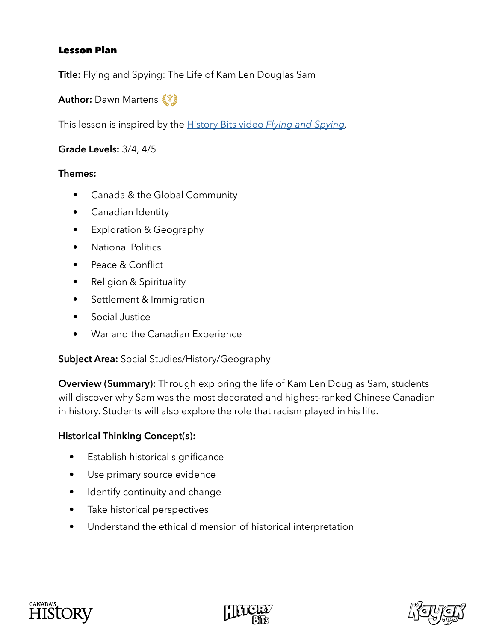## Lesson Plan

**Title:** Flying and Spying: The Life of Kam Len Douglas Sam

**Author:** Dawn Martens

This lesson is inspired by the [History Bits video](https://www.canadashistory.ca/explore/military-war/flying-and-spying) *Flying and Spying.*

**Grade Levels:** 3/4, 4/5

#### **Themes:**

- Canada & the Global Community
- Canadian Identity
- Exploration & Geography
- National Politics
- Peace & Conflict
- Religion & Spirituality
- Settlement & Immigration
- Social Justice
- War and the Canadian Experience

## **Subject Area:** Social Studies/History/Geography

**Overview (Summary):** Through exploring the life of Kam Len Douglas Sam, students will discover why Sam was the most decorated and highest-ranked Chinese Canadian in history. Students will also explore the role that racism played in his life.

## **Historical Thinking Concept(s):**

- Establish historical significance
- Use primary source evidence
- Identify continuity and change
- Take historical perspectives
- Understand the ethical dimension of historical interpretation





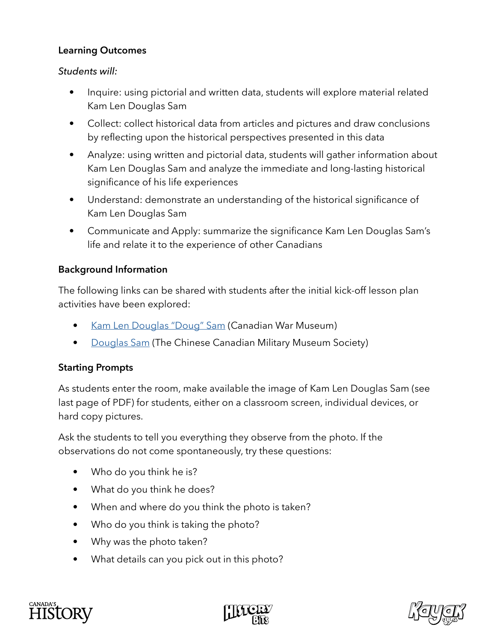## **Learning Outcomes**

#### *Students will:*

- Inquire: using pictorial and written data, students will explore material related Kam Len Douglas Sam
- Collect: collect historical data from articles and pictures and draw conclusions by reflecting upon the historical perspectives presented in this data
- Analyze: using written and pictorial data, students will gather information about Kam Len Douglas Sam and analyze the immediate and long-lasting historical significance of his life experiences
- Understand: demonstrate an understanding of the historical significance of Kam Len Douglas Sam
- Communicate and Apply: summarize the significance Kam Len Douglas Sam's life and relate it to the experience of other Canadians

## **Background Information**

The following links can be shared with students after the initial kick-off lesson plan activities have been explored:

- [Kam Len Douglas "Doug" Sam](https://www.warmuseum.ca/s3/supplyline/assets/swwteacherresources/personalstories/T3.3.3-PS-Eng-Sam.pdf) (Canadian War Museum)
- [Douglas Sam](https://www.ccmms.ca/veteran-stories/air-force/douglas-sam/) (The Chinese Canadian Military Museum Society)

## **Starting Prompts**

As students enter the room, make available the image of Kam Len Douglas Sam (see last page of PDF) for students, either on a classroom screen, individual devices, or hard copy pictures.

Ask the students to tell you everything they observe from the photo. If the observations do not come spontaneously, try these questions:

- Who do you think he is?
- What do you think he does?
- When and where do you think the photo is taken?
- Who do you think is taking the photo?
- Why was the photo taken?
- What details can you pick out in this photo?





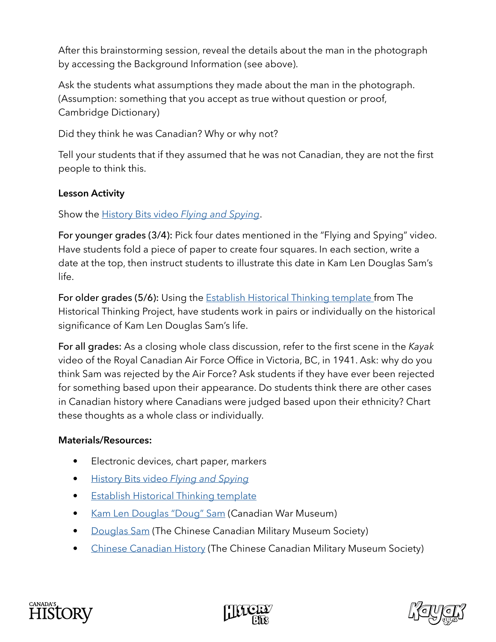After this brainstorming session, reveal the details about the man in the photograph by accessing the Background Information (see above).

Ask the students what assumptions they made about the man in the photograph. (Assumption: something that you accept as true without question or proof, Cambridge Dictionary)

Did they think he was Canadian? Why or why not?

Tell your students that if they assumed that he was not Canadian, they are not the first people to think this.

# **Lesson Activity**

Show the [History Bits video](https://www.canadashistory.ca/explore/military-war/flying-and-spying) *Flying and Spying*.

For younger grades (3/4): Pick four dates mentioned in the "Flying and Spying" video. Have students fold a piece of paper to create four squares. In each section, write a date at the top, then instruct students to illustrate this date in Kam Len Douglas Sam's life.

For older grades (5/6): Using the **Establish Historical Thinking template** from The Historical Thinking Project, have students work in pairs or individually on the historical significance of Kam Len Douglas Sam's life.

For all grades: As a closing whole class discussion, refer to the first scene in the *Kayak*  video of the Royal Canadian Air Force Office in Victoria, BC, in 1941. Ask: why do you think Sam was rejected by the Air Force? Ask students if they have ever been rejected for something based upon their appearance. Do students think there are other cases in Canadian history where Canadians were judged based upon their ethnicity? Chart these thoughts as a whole class or individually.

## **Materials/Resources:**

- Electronic devices, chart paper, markers
- [History Bits video](https://www.canadashistory.ca/explore/military-war/flying-and-spying) *Flying and Spying*
- Establish Historical Thinking template
- [Kam Len Douglas "Doug" Sam](https://www.warmuseum.ca/s3/supplyline/assets/swwteacherresources/personalstories/T3.3.3-PS-Eng-Sam.pdf) (Canadian War Museum)
- [Douglas Sam](https://www.ccmms.ca/veteran-stories/air-force/douglas-sam/) (The Chinese Canadian Military Museum Society)
- [Chinese Canadian History](https://www.ccmms.ca/chinese-canadian-history/) (The Chinese Canadian Military Museum Society)





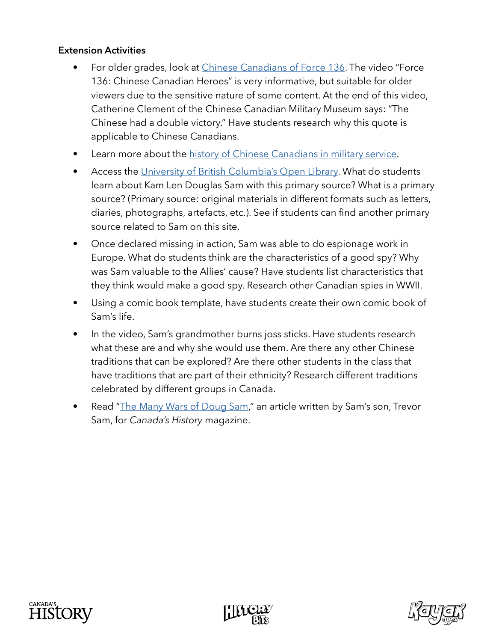#### **Extension Activities**

- For older grades, look at [Chinese Canadians of Force 136](https://www.thecanadianencyclopedia.ca/en/article/chinese-canadians-of-force-136). The video "Force 136: Chinese Canadian Heroes" is very informative, but suitable for older viewers due to the sensitive nature of some content. At the end of this video, Catherine Clement of the Chinese Canadian Military Museum says: "The Chinese had a double victory." Have students research why this quote is applicable to Chinese Canadians.
- Learn more about the [history of Chinese Canadians in military service.](https://www.veterans.gc.ca/eng/remembrance/people-and-stories/chinese-canadians)
- Access the [University of British Columbia's Open Library](https://open.library.ubc.ca/collections/chinesecanadianstories/ccmms/items/1.0367149). What do students learn about Kam Len Douglas Sam with this primary source? What is a primary source? (Primary source: original materials in different formats such as letters, diaries, photographs, artefacts, etc.). See if students can find another primary source related to Sam on this site.
- Once declared missing in action, Sam was able to do espionage work in Europe. What do students think are the characteristics of a good spy? Why was Sam valuable to the Allies' cause? Have students list characteristics that they think would make a good spy. Research other Canadian spies in WWII.
- Using a comic book template, have students create their own comic book of Sam's life.
- In the video, Sam's grandmother burns joss sticks. Have students research what these are and why she would use them. Are there any other Chinese traditions that can be explored? Are there other students in the class that have traditions that are part of their ethnicity? Research different traditions celebrated by different groups in Canada.
- Read ["The Many Wars of Doug Sam](https://www.canadashistory.ca/explore/military-war/the-many-wars-of-doug-sam)," an article written by Sam's son, Trevor Sam, for *Canada's History* magazine.